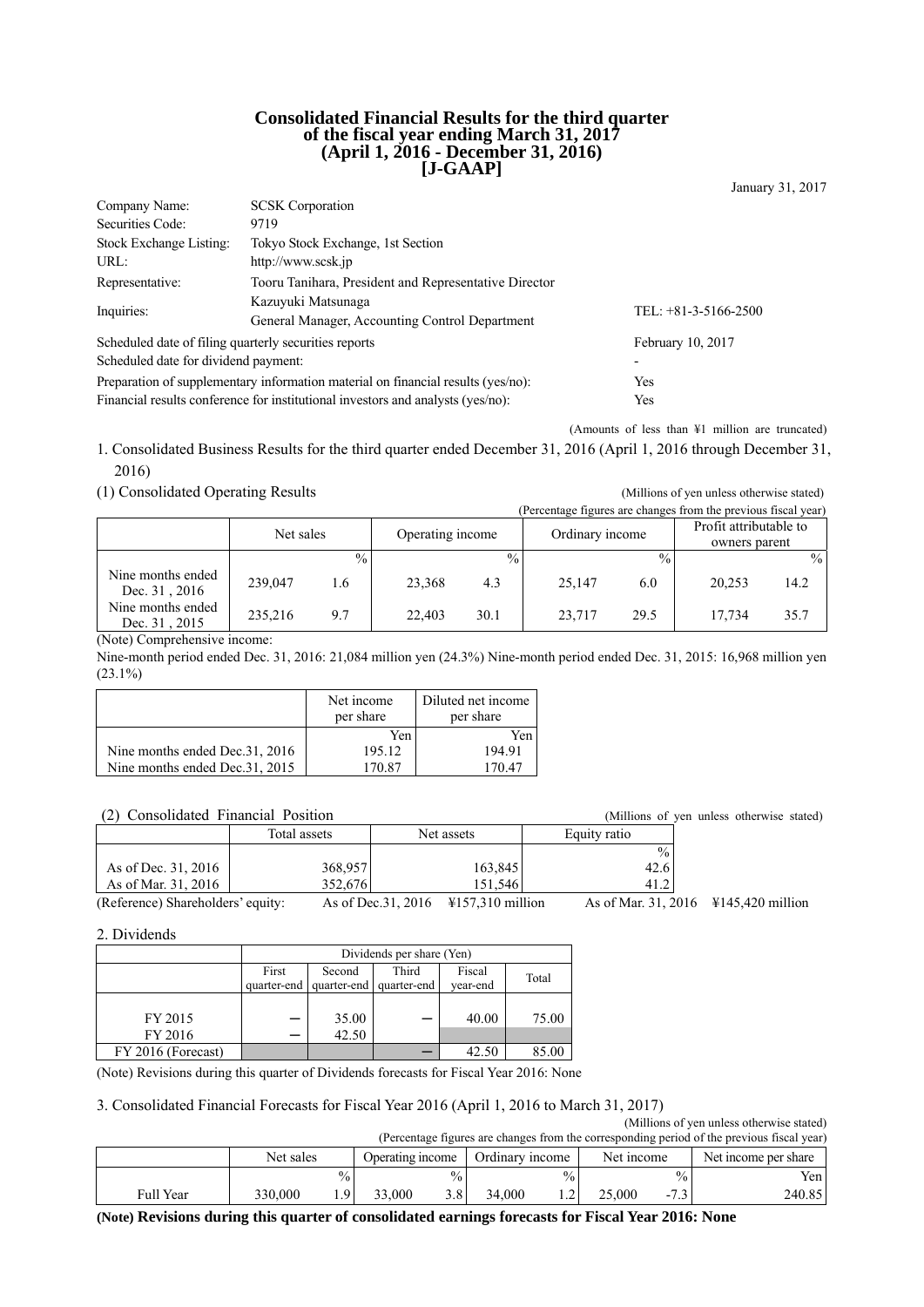#### **Consolidated Financial Results for the third quarter of the fiscal year ending March 31, 2017 (April 1, 2016 - December 31, 2016) [J-GAAP]**

January 31, 2017

| Company Name:                                                                           | <b>SCSK</b> Corporation                                                                |                        |  |  |  |
|-----------------------------------------------------------------------------------------|----------------------------------------------------------------------------------------|------------------------|--|--|--|
| Securities Code:                                                                        | 9719                                                                                   |                        |  |  |  |
| Stock Exchange Listing:                                                                 | Tokyo Stock Exchange, 1st Section                                                      |                        |  |  |  |
| URL:                                                                                    | http://www.scsk.jp                                                                     |                        |  |  |  |
| Tooru Tanihara, President and Representative Director<br>Representative:                |                                                                                        |                        |  |  |  |
| Inquiries:                                                                              | Kazuyuki Matsunaga                                                                     | TEL: $+81-3-5166-2500$ |  |  |  |
|                                                                                         | General Manager, Accounting Control Department                                         |                        |  |  |  |
| Scheduled date of filing quarterly securities reports                                   |                                                                                        | February 10, 2017      |  |  |  |
| Scheduled date for dividend payment:                                                    |                                                                                        |                        |  |  |  |
| Preparation of supplementary information material on financial results (yes/no):<br>Yes |                                                                                        |                        |  |  |  |
|                                                                                         | Financial results conference for institutional investors and analysts (yes/no):<br>Yes |                        |  |  |  |

(Amounts of less than ¥1 million are truncated)

1. Consolidated Business Results for the third quarter ended December 31, 2016 (April 1, 2016 through December 31, 2016)

#### (1) Consolidated Operating Results (Millions of yen unless otherwise stated)

(Percentage figures are changes from the previous fiscal year) Net sales Operating income Ordinary income Profit attributable to owners parent  $\frac{9}{9}$  %  $\frac{9}{9}$  % Nine months ended Dec. 31, 2016 239,047 1.6 23,368 4.3 25,147 6.0 20,253 14.2 Nine months ended Dec. 31, 2015 235,216 9.7 22,403 30.1 23,717 29.5 17,734 35.7

(Note) Comprehensive income:

Nine-month period ended Dec. 31, 2016: 21,084 million yen (24.3%) Nine-month period ended Dec. 31, 2015: 16,968 million yen  $(23.1\%)$ 

|                                 | Net income<br>per share | Diluted net income<br>per share |
|---------------------------------|-------------------------|---------------------------------|
|                                 | Yen                     | Yen                             |
| Nine months ended Dec. 31, 2016 | 195.12                  | 194.91                          |
| Nine months ended Dec. 31, 2015 | 170.87                  | 17047                           |

#### (2) Consolidated Financial Position (Millions of yen unless otherwise stated)

| $\mathcal{L}$ Consonaated Financial Foshion |              |                                                    |                                                |  | TRITIQUE OI VEII UNICES OUICI-WISC STAIN |
|---------------------------------------------|--------------|----------------------------------------------------|------------------------------------------------|--|------------------------------------------|
|                                             | Total assets | Net assets                                         | Equity ratio                                   |  |                                          |
|                                             |              |                                                    | $\frac{0}{0}$                                  |  |                                          |
| As of Dec. 31, 2016                         | 368,957      | 163,845                                            | 42.6                                           |  |                                          |
| As of Mar. 31, 2016                         | 352.676      | 151.546                                            | 41.2                                           |  |                                          |
| (Reference) Shareholders' equity:           |              | As of Dec. 31, 2016 $\frac{1}{2}$ 157, 310 million | As of Mar. 31, 2016 $\text{\#}145,420$ million |  |                                          |

2. Dividends

|                    | Dividends per share (Yen) |             |             |          |       |
|--------------------|---------------------------|-------------|-------------|----------|-------|
|                    | First                     | Second      | Third       | Fiscal   | Total |
|                    | quarter-end               | quarter-end | quarter-end | vear-end |       |
|                    |                           |             |             |          |       |
| FY 2015            |                           | 35.00       |             | 40.00    | 75.00 |
| FY 2016            |                           | 42.50       |             |          |       |
| FY 2016 (Forecast) |                           |             |             | 42.50    | 85.00 |

(Note) Revisions during this quarter of Dividends forecasts for Fiscal Year 2016: None

3. Consolidated Financial Forecasts for Fiscal Year 2016 (April 1, 2016 to March 31, 2017)

| (Millions of yen unless otherwise stated)                                                  |           |               |                  |               |                 |               |            |               |                      |
|--------------------------------------------------------------------------------------------|-----------|---------------|------------------|---------------|-----------------|---------------|------------|---------------|----------------------|
| (Percentage figures are changes from the corresponding period of the previous fiscal year) |           |               |                  |               |                 |               |            |               |                      |
|                                                                                            | Net sales |               | Operating income |               | Ordinary income |               | Net income |               | Net income per share |
|                                                                                            |           | $\frac{0}{0}$ |                  | $\frac{0}{0}$ |                 | $\frac{0}{0}$ |            | $\frac{0}{0}$ | Yen l                |
| <b>Full Year</b>                                                                           | 330,000   | g i           | 33.000           | 3.8           | 34,000          |               | 25,000     | $-7.3$        | 240.85               |

**(Note) Revisions during this quarter of consolidated earnings forecasts for Fiscal Year 2016: None**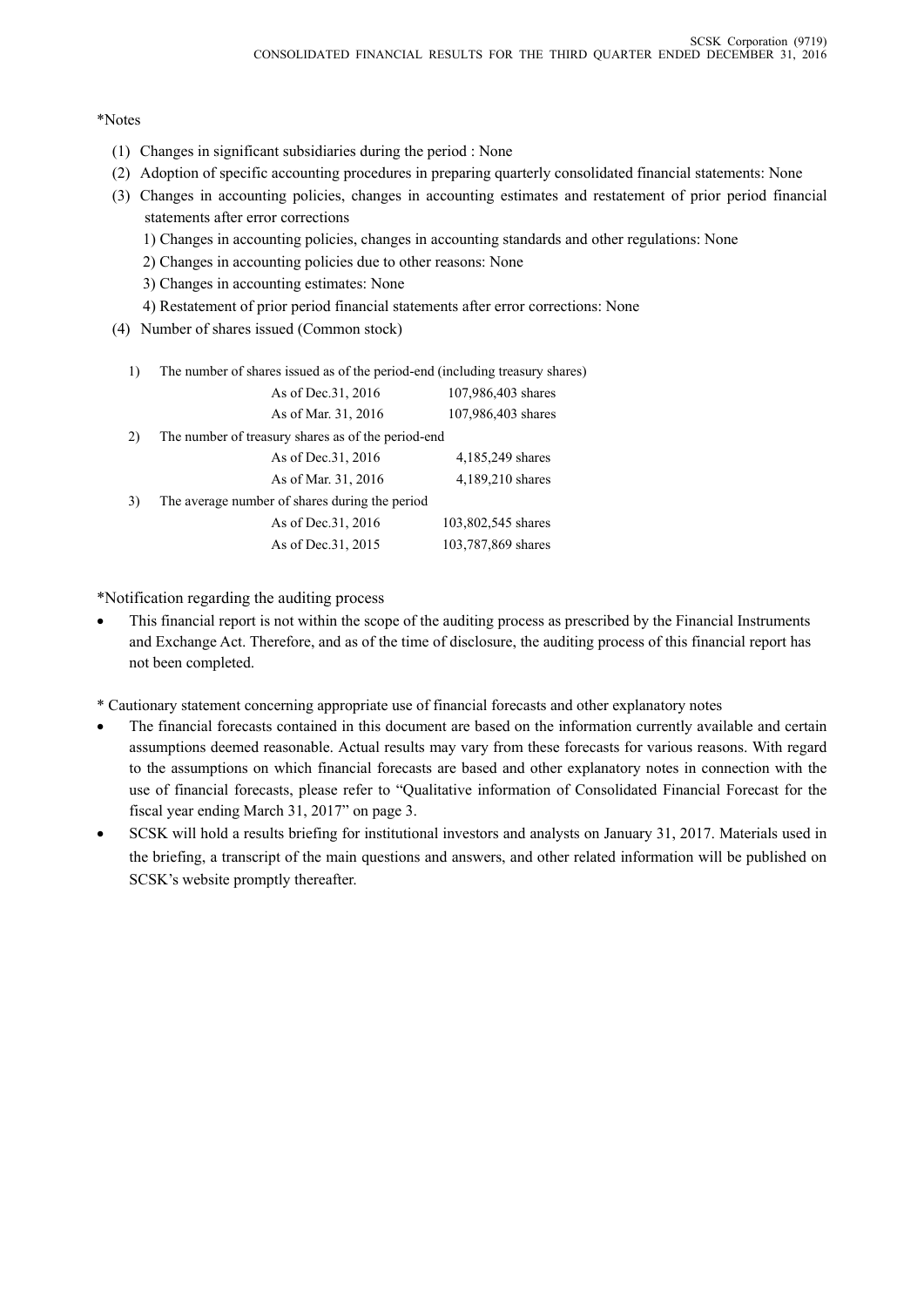#### \*Notes

- (1) Changes in significant subsidiaries during the period : None
- (2) Adoption of specific accounting procedures in preparing quarterly consolidated financial statements: None
- (3) Changes in accounting policies, changes in accounting estimates and restatement of prior period financial statements after error corrections
	- 1) Changes in accounting policies, changes in accounting standards and other regulations: None
	- 2) Changes in accounting policies due to other reasons: None
	- 3) Changes in accounting estimates: None
	- 4) Restatement of prior period financial statements after error corrections: None
- (4) Number of shares issued (Common stock)
	- 1) The number of shares issued as of the period-end (including treasury shares)

|    | As of Dec. 31, 2016                                | 107,986,403 shares |
|----|----------------------------------------------------|--------------------|
|    | As of Mar. 31, 2016                                | 107,986,403 shares |
| 2) | The number of treasury shares as of the period-end |                    |
|    | As of Dec. 31, 2016                                | 4,185,249 shares   |
|    | As of Mar. 31, 2016                                | 4,189,210 shares   |
| 3) | The average number of shares during the period     |                    |
|    | As of Dec. 31, 2016                                | 103,802,545 shares |
|    | As of Dec. 31, 2015                                | 103,787,869 shares |

\*Notification regarding the auditing process

- This financial report is not within the scope of the auditing process as prescribed by the Financial Instruments and Exchange Act. Therefore, and as of the time of disclosure, the auditing process of this financial report has not been completed.
- \* Cautionary statement concerning appropriate use of financial forecasts and other explanatory notes
- The financial forecasts contained in this document are based on the information currently available and certain assumptions deemed reasonable. Actual results may vary from these forecasts for various reasons. With regard to the assumptions on which financial forecasts are based and other explanatory notes in connection with the use of financial forecasts, please refer to "Qualitative information of Consolidated Financial Forecast for the fiscal year ending March 31, 2017" on page 3.
- SCSK will hold a results briefing for institutional investors and analysts on January 31, 2017. Materials used in the briefing, a transcript of the main questions and answers, and other related information will be published on SCSK's website promptly thereafter.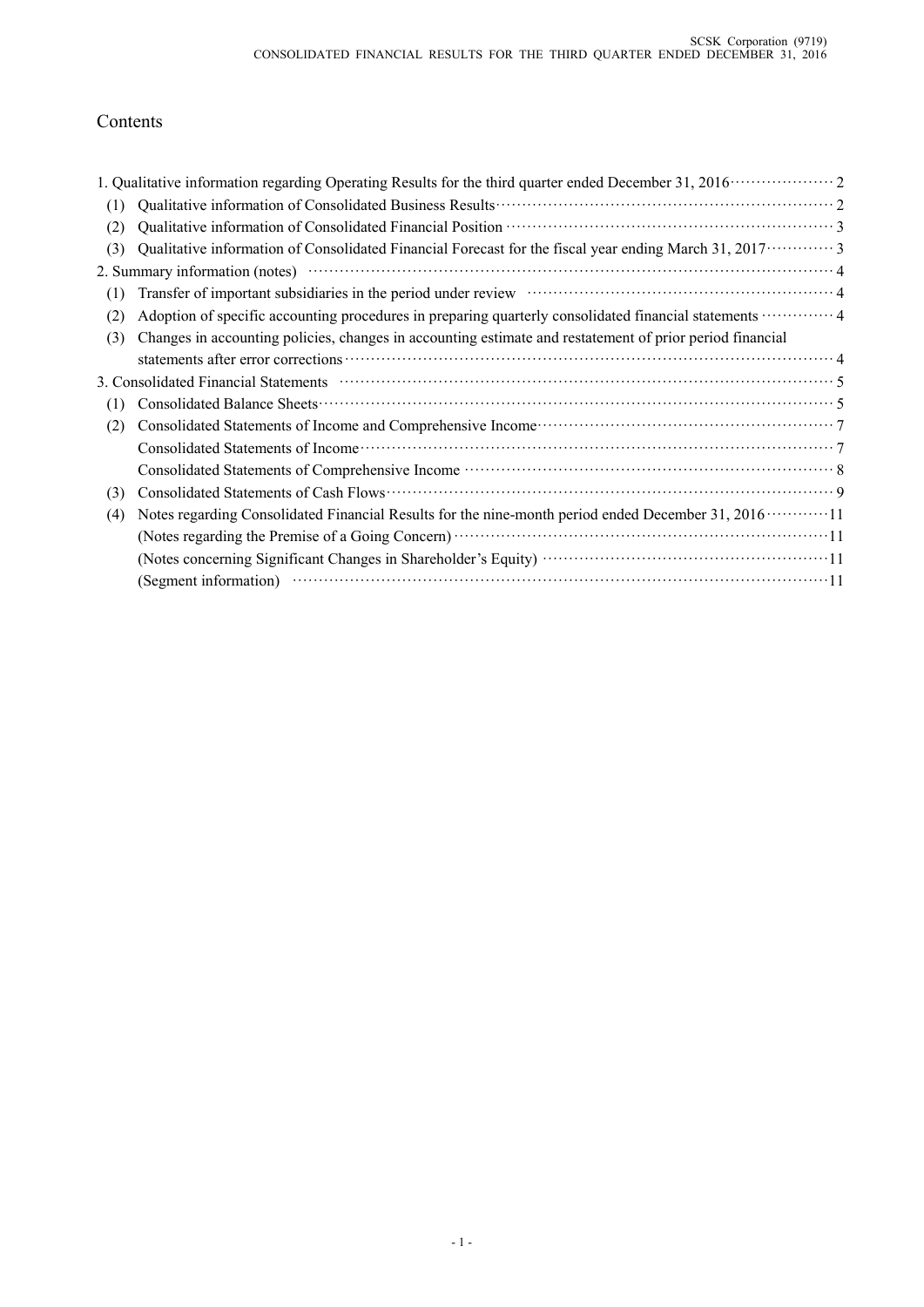# Contents

| (1) |                                                                                                                                                                                                                                        |  |
|-----|----------------------------------------------------------------------------------------------------------------------------------------------------------------------------------------------------------------------------------------|--|
| (2) |                                                                                                                                                                                                                                        |  |
| (3) | Qualitative information of Consolidated Financial Forecast for the fiscal year ending March 31, 2017 · · · · · · · · · 3                                                                                                               |  |
|     | 2. Summary information (notes)                                                                                                                                                                                                         |  |
| (1) | Transfer of important subsidiaries in the period under review material contract and a 4                                                                                                                                                |  |
| (2) | Adoption of specific accounting procedures in preparing quarterly consolidated financial statements  4                                                                                                                                 |  |
| (3) | Changes in accounting policies, changes in accounting estimate and restatement of prior period financial                                                                                                                               |  |
|     |                                                                                                                                                                                                                                        |  |
|     | 3. Consolidated Financial Statements manufactured contract to the Statements of Statements of Statements and Statements of Statements and Statements of Statements and Statements of Statements and Statements and Statements          |  |
| (1) |                                                                                                                                                                                                                                        |  |
| (2) | Consolidated Statements of Income and Comprehensive Income<br>Fig. 2.1 (1997)<br>The Statements of Income and Comprehensive Income<br>Statements of Income and Comprehensive Income<br>Statements of Income and Comprehensive Income . |  |
|     |                                                                                                                                                                                                                                        |  |
|     |                                                                                                                                                                                                                                        |  |
| (3) | Consolidated Statements of Cash Flows                                                                                                                                                                                                  |  |
| (4) |                                                                                                                                                                                                                                        |  |
|     |                                                                                                                                                                                                                                        |  |
|     |                                                                                                                                                                                                                                        |  |
|     | (Segment information) (Compared to the set of the set of the set of the set of the set of the set of the set of the set of the set of the set of the set of the set of the set of the set of the set of the set of the set of          |  |
|     |                                                                                                                                                                                                                                        |  |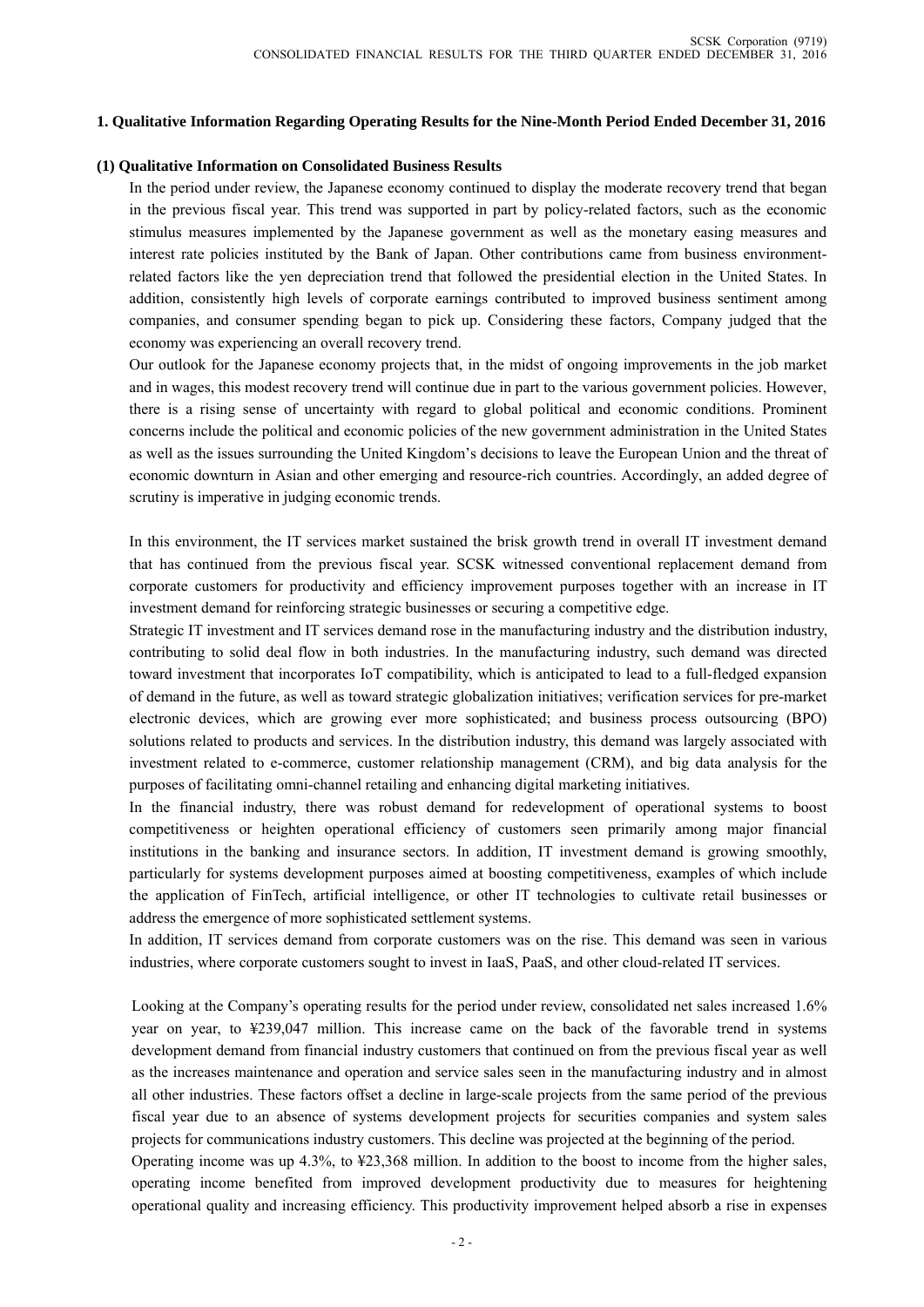### **1. Qualitative Information Regarding Operating Results for the Nine-Month Period Ended December 31, 2016**

#### **(1) Qualitative Information on Consolidated Business Results**

In the period under review, the Japanese economy continued to display the moderate recovery trend that began in the previous fiscal year. This trend was supported in part by policy-related factors, such as the economic stimulus measures implemented by the Japanese government as well as the monetary easing measures and interest rate policies instituted by the Bank of Japan. Other contributions came from business environmentrelated factors like the yen depreciation trend that followed the presidential election in the United States. In addition, consistently high levels of corporate earnings contributed to improved business sentiment among companies, and consumer spending began to pick up. Considering these factors, Company judged that the economy was experiencing an overall recovery trend.

Our outlook for the Japanese economy projects that, in the midst of ongoing improvements in the job market and in wages, this modest recovery trend will continue due in part to the various government policies. However, there is a rising sense of uncertainty with regard to global political and economic conditions. Prominent concerns include the political and economic policies of the new government administration in the United States as well as the issues surrounding the United Kingdom's decisions to leave the European Union and the threat of economic downturn in Asian and other emerging and resource-rich countries. Accordingly, an added degree of scrutiny is imperative in judging economic trends.

In this environment, the IT services market sustained the brisk growth trend in overall IT investment demand that has continued from the previous fiscal year. SCSK witnessed conventional replacement demand from corporate customers for productivity and efficiency improvement purposes together with an increase in IT investment demand for reinforcing strategic businesses or securing a competitive edge.

Strategic IT investment and IT services demand rose in the manufacturing industry and the distribution industry, contributing to solid deal flow in both industries. In the manufacturing industry, such demand was directed toward investment that incorporates IoT compatibility, which is anticipated to lead to a full-fledged expansion of demand in the future, as well as toward strategic globalization initiatives; verification services for pre-market electronic devices, which are growing ever more sophisticated; and business process outsourcing (BPO) solutions related to products and services. In the distribution industry, this demand was largely associated with investment related to e-commerce, customer relationship management (CRM), and big data analysis for the purposes of facilitating omni-channel retailing and enhancing digital marketing initiatives.

In the financial industry, there was robust demand for redevelopment of operational systems to boost competitiveness or heighten operational efficiency of customers seen primarily among major financial institutions in the banking and insurance sectors. In addition, IT investment demand is growing smoothly, particularly for systems development purposes aimed at boosting competitiveness, examples of which include the application of FinTech, artificial intelligence, or other IT technologies to cultivate retail businesses or address the emergence of more sophisticated settlement systems.

In addition, IT services demand from corporate customers was on the rise. This demand was seen in various industries, where corporate customers sought to invest in IaaS, PaaS, and other cloud-related IT services.

Looking at the Company's operating results for the period under review, consolidated net sales increased 1.6% year on year, to ¥239,047 million. This increase came on the back of the favorable trend in systems development demand from financial industry customers that continued on from the previous fiscal year as well as the increases maintenance and operation and service sales seen in the manufacturing industry and in almost all other industries. These factors offset a decline in large-scale projects from the same period of the previous fiscal year due to an absence of systems development projects for securities companies and system sales projects for communications industry customers. This decline was projected at the beginning of the period.

Operating income was up 4.3%, to ¥23,368 million. In addition to the boost to income from the higher sales, operating income benefited from improved development productivity due to measures for heightening operational quality and increasing efficiency. This productivity improvement helped absorb a rise in expenses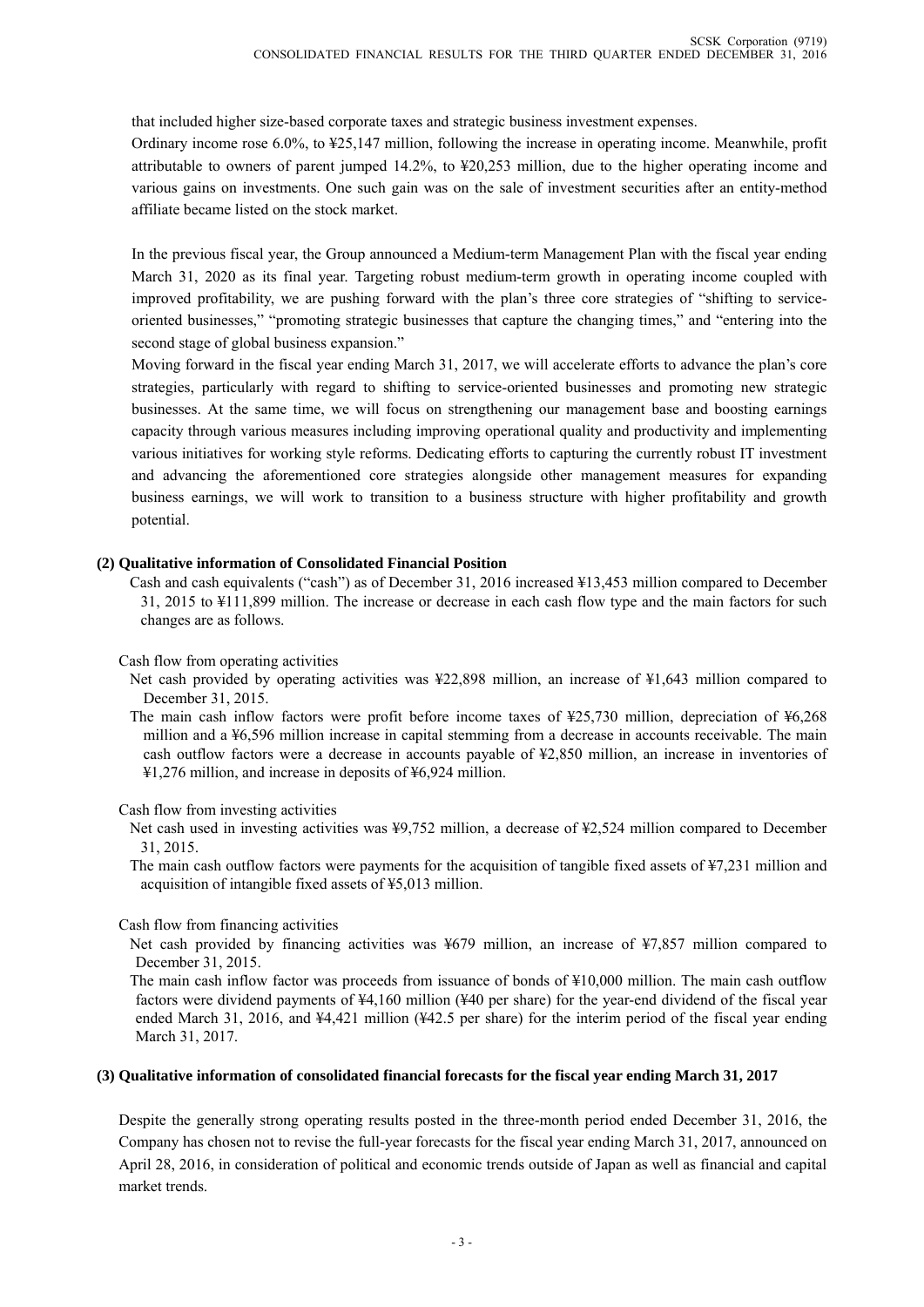that included higher size-based corporate taxes and strategic business investment expenses.

Ordinary income rose 6.0%, to ¥25,147 million, following the increase in operating income. Meanwhile, profit attributable to owners of parent jumped 14.2%, to ¥20,253 million, due to the higher operating income and various gains on investments. One such gain was on the sale of investment securities after an entity-method affiliate became listed on the stock market.

In the previous fiscal year, the Group announced a Medium-term Management Plan with the fiscal year ending March 31, 2020 as its final year. Targeting robust medium-term growth in operating income coupled with improved profitability, we are pushing forward with the plan's three core strategies of "shifting to serviceoriented businesses," "promoting strategic businesses that capture the changing times," and "entering into the second stage of global business expansion."

Moving forward in the fiscal year ending March 31, 2017, we will accelerate efforts to advance the plan's core strategies, particularly with regard to shifting to service-oriented businesses and promoting new strategic businesses. At the same time, we will focus on strengthening our management base and boosting earnings capacity through various measures including improving operational quality and productivity and implementing various initiatives for working style reforms. Dedicating efforts to capturing the currently robust IT investment and advancing the aforementioned core strategies alongside other management measures for expanding business earnings, we will work to transition to a business structure with higher profitability and growth potential.

#### **(2) Qualitative information of Consolidated Financial Position**

Cash and cash equivalents ("cash") as of December 31, 2016 increased ¥13,453 million compared to December 31, 2015 to ¥111,899 million. The increase or decrease in each cash flow type and the main factors for such changes are as follows.

#### Cash flow from operating activities

- Net cash provided by operating activities was ¥22,898 million, an increase of ¥1,643 million compared to December 31, 2015.
- The main cash inflow factors were profit before income taxes of ¥25,730 million, depreciation of ¥6,268 million and a ¥6,596 million increase in capital stemming from a decrease in accounts receivable. The main cash outflow factors were a decrease in accounts payable of ¥2,850 million, an increase in inventories of ¥1,276 million, and increase in deposits of ¥6,924 million.

Cash flow from investing activities

Net cash used in investing activities was ¥9,752 million, a decrease of ¥2,524 million compared to December 31, 2015.

The main cash outflow factors were payments for the acquisition of tangible fixed assets of ¥7,231 million and acquisition of intangible fixed assets of ¥5,013 million.

### Cash flow from financing activities

Net cash provided by financing activities was ¥679 million, an increase of ¥7,857 million compared to December 31, 2015.

The main cash inflow factor was proceeds from issuance of bonds of ¥10,000 million. The main cash outflow factors were dividend payments of ¥4,160 million (¥40 per share) for the year-end dividend of the fiscal year ended March 31, 2016, and ¥4,421 million (¥42.5 per share) for the interim period of the fiscal year ending March 31, 2017.

#### **(3) Qualitative information of consolidated financial forecasts for the fiscal year ending March 31, 2017**

Despite the generally strong operating results posted in the three-month period ended December 31, 2016, the Company has chosen not to revise the full-year forecasts for the fiscal year ending March 31, 2017, announced on April 28, 2016, in consideration of political and economic trends outside of Japan as well as financial and capital market trends.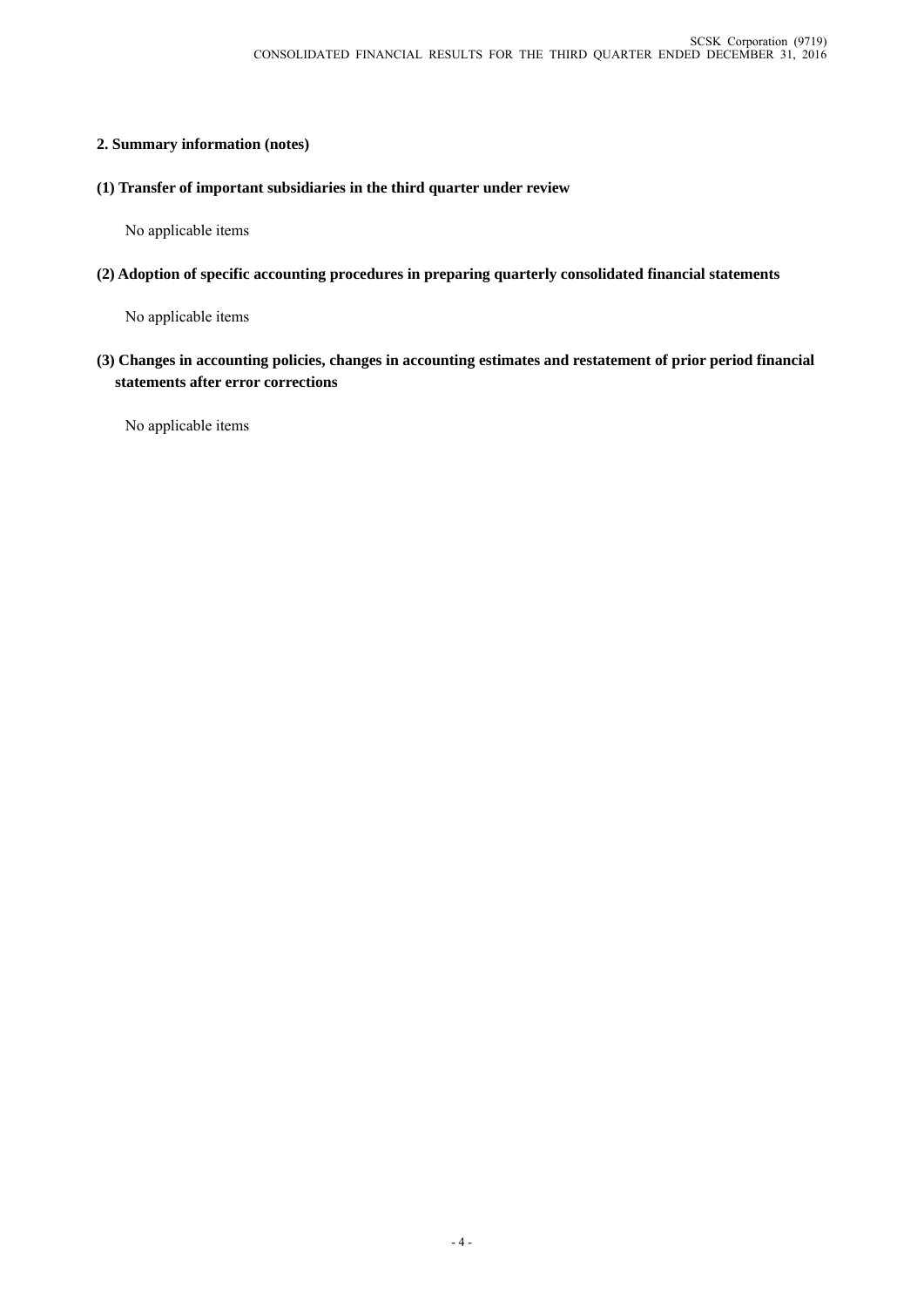## **2. Summary information (notes)**

**(1) Transfer of important subsidiaries in the third quarter under review**

No applicable items

**(2) Adoption of specific accounting procedures in preparing quarterly consolidated financial statements**

No applicable items

**(3) Changes in accounting policies, changes in accounting estimates and restatement of prior period financial statements after error corrections** 

No applicable items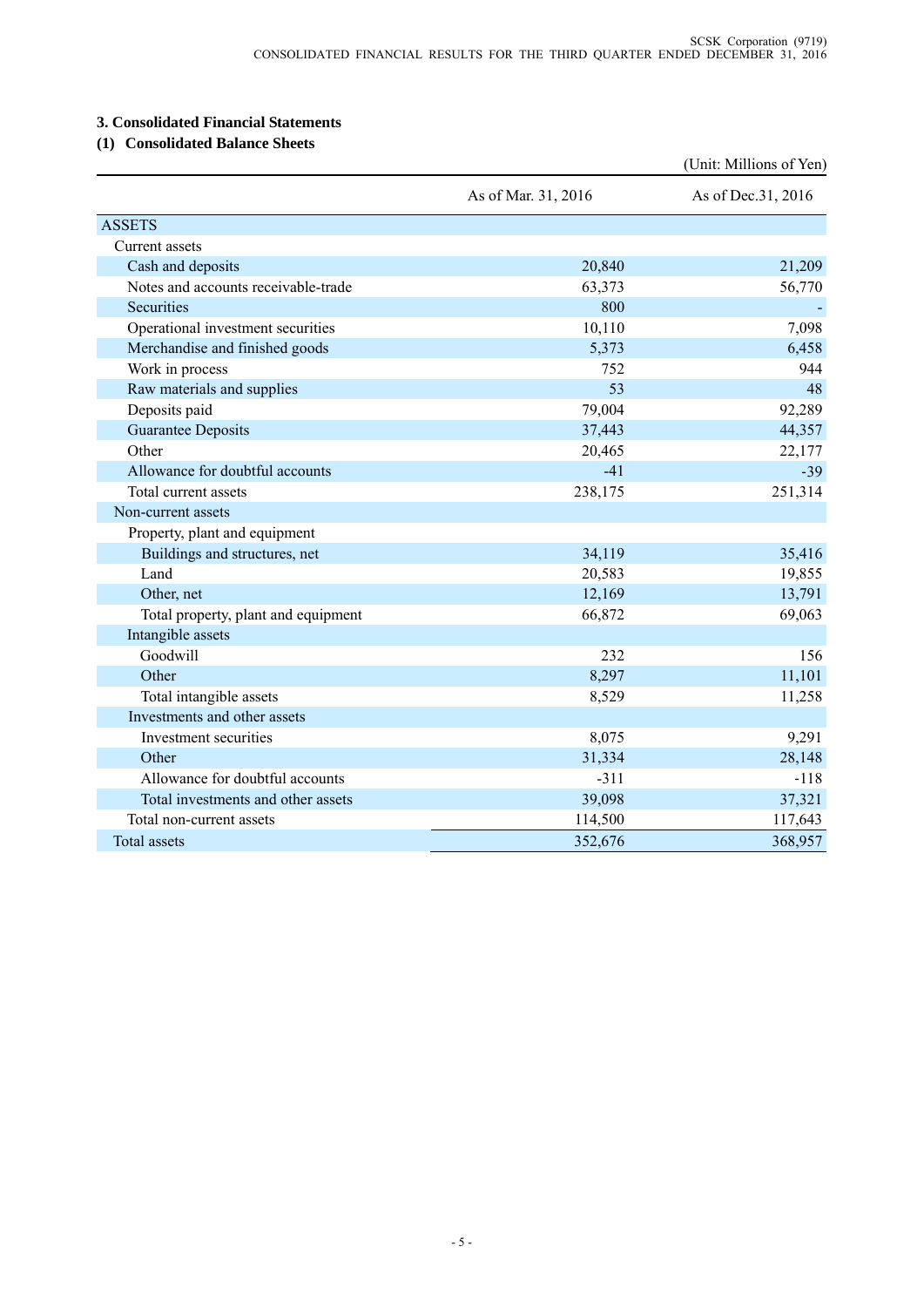## **3. Consolidated Financial Statements**

## **(1) Consolidated Balance Sheets**

|                                     |                     | (Unit: Millions of Yen) |
|-------------------------------------|---------------------|-------------------------|
|                                     | As of Mar. 31, 2016 | As of Dec. 31, 2016     |
| <b>ASSETS</b>                       |                     |                         |
| Current assets                      |                     |                         |
| Cash and deposits                   | 20,840              | 21,209                  |
| Notes and accounts receivable-trade | 63,373              | 56,770                  |
| Securities                          | 800                 |                         |
| Operational investment securities   | 10,110              | 7,098                   |
| Merchandise and finished goods      | 5,373               | 6,458                   |
| Work in process                     | 752                 | 944                     |
| Raw materials and supplies          | 53                  | 48                      |
| Deposits paid                       | 79,004              | 92,289                  |
| <b>Guarantee Deposits</b>           | 37,443              | 44,357                  |
| Other                               | 20,465              | 22,177                  |
| Allowance for doubtful accounts     | $-41$               | $-39$                   |
| Total current assets                | 238,175             | 251,314                 |
| Non-current assets                  |                     |                         |
| Property, plant and equipment       |                     |                         |
| Buildings and structures, net       | 34,119              | 35,416                  |
| Land                                | 20,583              | 19,855                  |
| Other, net                          | 12,169              | 13,791                  |
| Total property, plant and equipment | 66,872              | 69,063                  |
| Intangible assets                   |                     |                         |
| Goodwill                            | 232                 | 156                     |
| Other                               | 8,297               | 11,101                  |
| Total intangible assets             | 8,529               | 11,258                  |
| Investments and other assets        |                     |                         |
| Investment securities               | 8,075               | 9,291                   |
| Other                               | 31,334              | 28,148                  |
| Allowance for doubtful accounts     | $-311$              | $-118$                  |
| Total investments and other assets  | 39,098              | 37,321                  |
| Total non-current assets            | 114,500             | 117,643                 |
| <b>Total assets</b>                 | 352,676             | 368,957                 |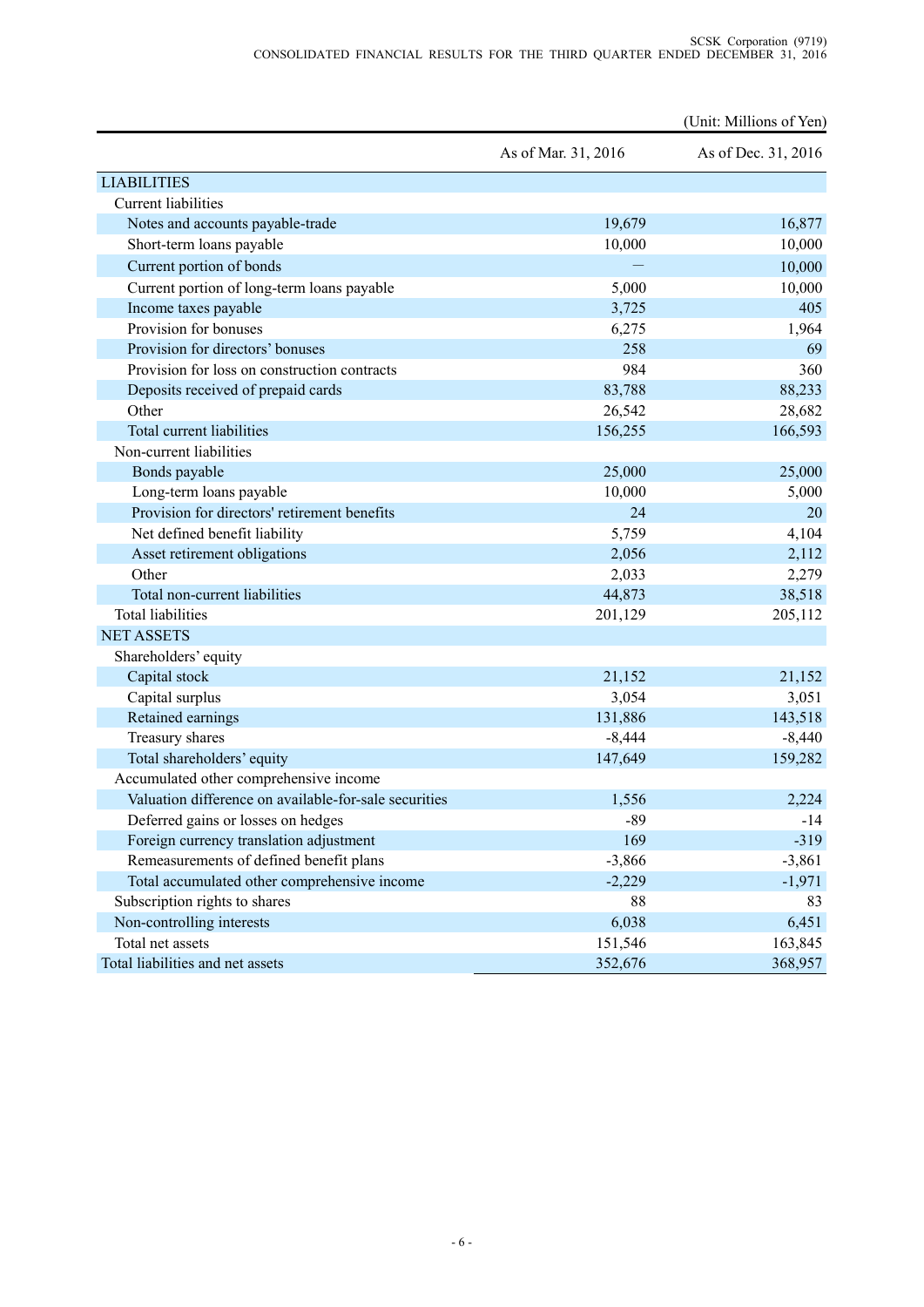|                                                       |                     | (Unit: Millions of Yen) |
|-------------------------------------------------------|---------------------|-------------------------|
|                                                       | As of Mar. 31, 2016 | As of Dec. 31, 2016     |
| <b>LIABILITIES</b>                                    |                     |                         |
| <b>Current liabilities</b>                            |                     |                         |
| Notes and accounts payable-trade                      | 19,679              | 16,877                  |
| Short-term loans payable                              | 10,000              | 10,000                  |
| Current portion of bonds                              |                     | 10,000                  |
| Current portion of long-term loans payable            | 5,000               | 10,000                  |
| Income taxes payable                                  | 3,725               | 405                     |
| Provision for bonuses                                 | 6,275               | 1,964                   |
| Provision for directors' bonuses                      | 258                 | 69                      |
| Provision for loss on construction contracts          | 984                 | 360                     |
| Deposits received of prepaid cards                    | 83,788              | 88,233                  |
| Other                                                 | 26,542              | 28,682                  |
| Total current liabilities                             | 156,255             | 166,593                 |
| Non-current liabilities                               |                     |                         |
| Bonds payable                                         | 25,000              | 25,000                  |
| Long-term loans payable                               | 10,000              | 5,000                   |
| Provision for directors' retirement benefits          | 24                  | 20                      |
| Net defined benefit liability                         | 5,759               | 4,104                   |
| Asset retirement obligations                          | 2,056               | 2,112                   |
| Other                                                 | 2,033               | 2,279                   |
| Total non-current liabilities                         | 44,873              | 38,518                  |
| <b>Total liabilities</b>                              | 201,129             | 205,112                 |
| <b>NET ASSETS</b>                                     |                     |                         |
| Shareholders' equity                                  |                     |                         |
| Capital stock                                         | 21,152              | 21,152                  |
| Capital surplus                                       | 3,054               | 3,051                   |
| Retained earnings                                     | 131,886             | 143,518                 |
| Treasury shares                                       | $-8,444$            | $-8,440$                |
| Total shareholders' equity                            | 147,649             | 159,282                 |
| Accumulated other comprehensive income                |                     |                         |
| Valuation difference on available-for-sale securities | 1,556               | 2,224                   |
| Deferred gains or losses on hedges                    | $-89$               | $-14$                   |
| Foreign currency translation adjustment               | 169                 | $-319$                  |
| Remeasurements of defined benefit plans               | $-3,866$            | $-3,861$                |
| Total accumulated other comprehensive income          | $-2,229$            | $-1,971$                |
| Subscription rights to shares                         | 88                  | 83                      |
| Non-controlling interests                             | 6,038               | 6,451                   |
| Total net assets                                      | 151,546             | 163,845                 |
| Total liabilities and net assets                      | 352,676             | 368,957                 |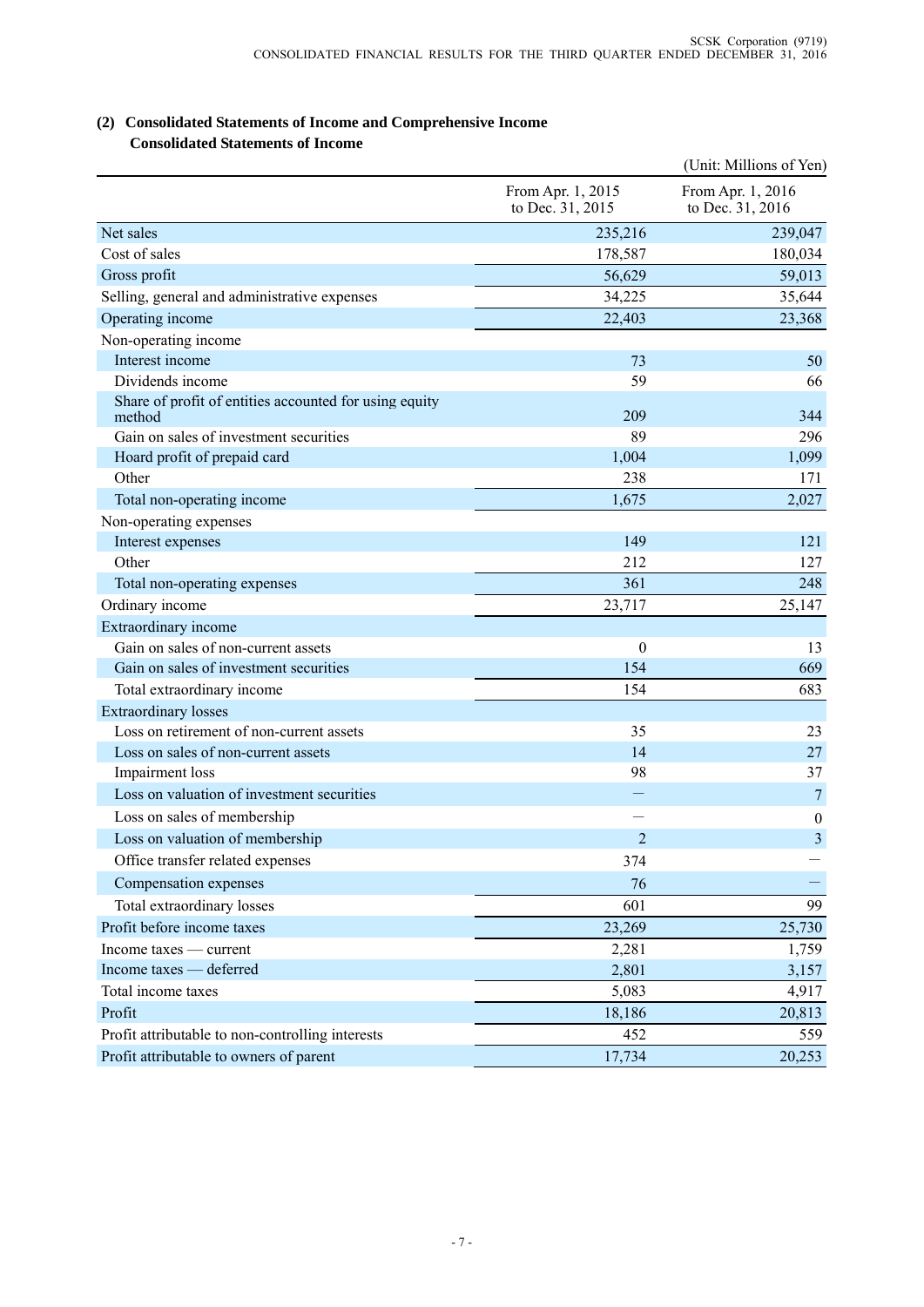| (2) Consolidated Statements of Income and Comprehensive Income |
|----------------------------------------------------------------|
| <b>Consolidated Statements of Income</b>                       |

|                                                                  |                                       | (Unit: Millions of Yen)               |
|------------------------------------------------------------------|---------------------------------------|---------------------------------------|
|                                                                  | From Apr. 1, 2015<br>to Dec. 31, 2015 | From Apr. 1, 2016<br>to Dec. 31, 2016 |
| Net sales                                                        | 235,216                               | 239,047                               |
| Cost of sales                                                    | 178,587                               | 180,034                               |
| Gross profit                                                     | 56,629                                | 59,013                                |
| Selling, general and administrative expenses                     | 34,225                                | 35,644                                |
| Operating income                                                 | 22,403                                | 23,368                                |
| Non-operating income                                             |                                       |                                       |
| Interest income                                                  | 73                                    | 50                                    |
| Dividends income                                                 | 59                                    | 66                                    |
| Share of profit of entities accounted for using equity<br>method | 209                                   | 344                                   |
| Gain on sales of investment securities                           | 89                                    | 296                                   |
| Hoard profit of prepaid card                                     | 1,004                                 | 1,099                                 |
| Other                                                            | 238                                   | 171                                   |
| Total non-operating income                                       | 1,675                                 | 2,027                                 |
| Non-operating expenses                                           |                                       |                                       |
| Interest expenses                                                | 149                                   | 121                                   |
| Other                                                            | 212                                   | 127                                   |
| Total non-operating expenses                                     | 361                                   | 248                                   |
| Ordinary income                                                  | 23,717                                | 25,147                                |
| Extraordinary income                                             |                                       |                                       |
| Gain on sales of non-current assets                              | $\theta$                              | 13                                    |
| Gain on sales of investment securities                           | 154                                   | 669                                   |
| Total extraordinary income                                       | 154                                   | 683                                   |
| <b>Extraordinary losses</b>                                      |                                       |                                       |
| Loss on retirement of non-current assets                         | 35                                    | 23                                    |
| Loss on sales of non-current assets                              | 14                                    | 27                                    |
| Impairment loss                                                  | 98                                    | 37                                    |
| Loss on valuation of investment securities                       | —                                     | $\overline{7}$                        |
| Loss on sales of membership                                      |                                       | $\boldsymbol{0}$                      |
| Loss on valuation of membership                                  | $\overline{2}$                        | 3                                     |
| Office transfer related expenses                                 | 374                                   |                                       |
| Compensation expenses                                            | 76                                    |                                       |
| Total extraordinary losses                                       | 601                                   | 99                                    |
| Profit before income taxes                                       | 23,269                                | 25,730                                |
| Income taxes — current                                           | 2,281                                 | 1,759                                 |
| Income taxes - deferred                                          | 2,801                                 | 3,157                                 |
| Total income taxes                                               | 5,083                                 | 4,917                                 |
| Profit                                                           | 18,186                                | 20,813                                |
| Profit attributable to non-controlling interests                 | 452                                   | 559                                   |
| Profit attributable to owners of parent                          | 17,734                                | 20,253                                |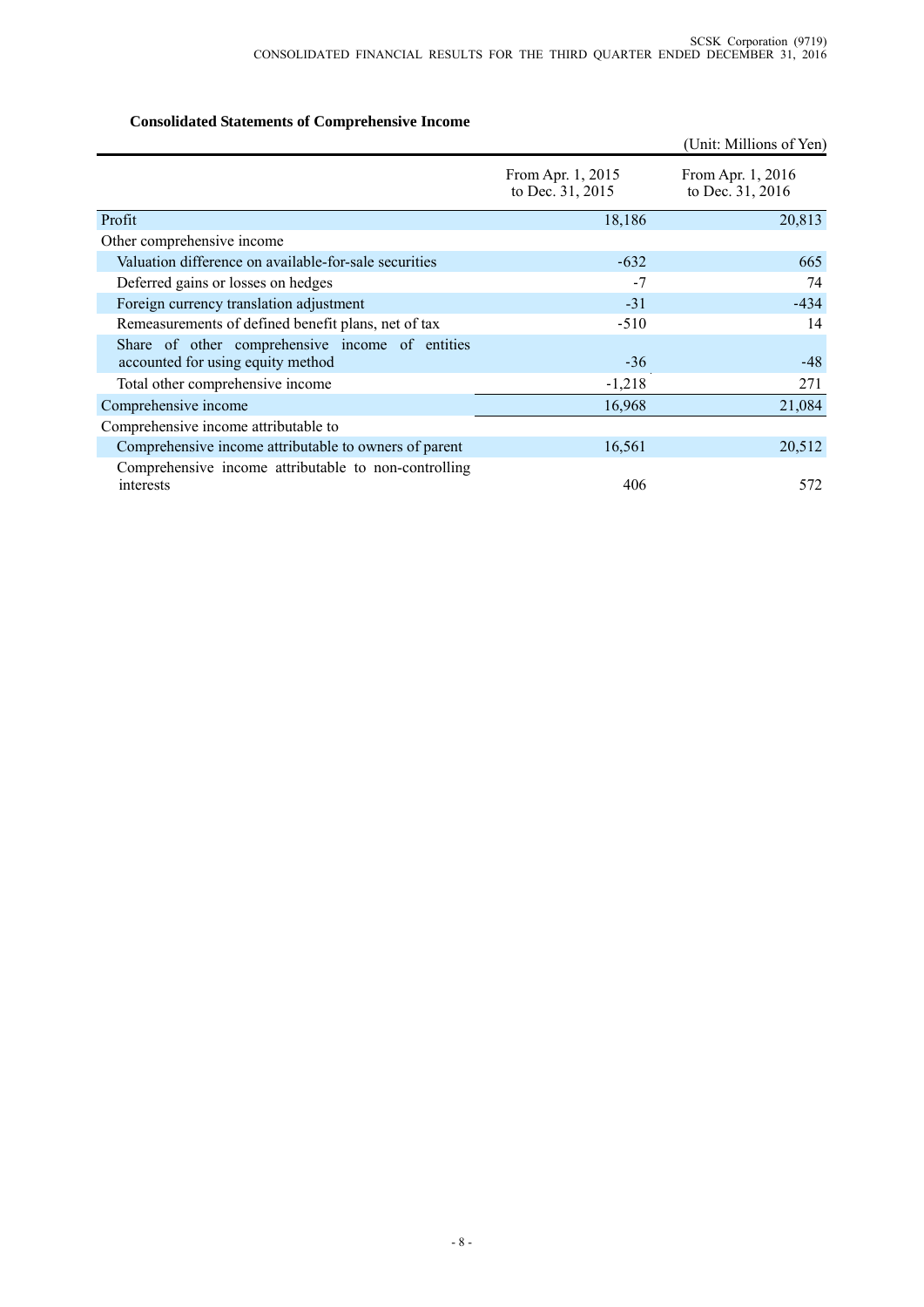# **Consolidated Statements of Comprehensive Income**

|                                                                                      |                                       | (Unit: Millions of Yen)               |
|--------------------------------------------------------------------------------------|---------------------------------------|---------------------------------------|
|                                                                                      | From Apr. 1, 2015<br>to Dec. 31, 2015 | From Apr. 1, 2016<br>to Dec. 31, 2016 |
| Profit                                                                               | 18,186                                | 20,813                                |
| Other comprehensive income                                                           |                                       |                                       |
| Valuation difference on available-for-sale securities                                | $-632$                                | 665                                   |
| Deferred gains or losses on hedges                                                   | $-7$                                  | 74                                    |
| Foreign currency translation adjustment                                              | $-31$                                 | $-434$                                |
| Remeasurements of defined benefit plans, net of tax                                  | $-510$                                | 14                                    |
| Share of other comprehensive income of entities<br>accounted for using equity method | $-36$                                 | $-48$                                 |
| Total other comprehensive income                                                     | $-1,218$                              | 271                                   |
| Comprehensive income                                                                 | 16,968                                | 21,084                                |
| Comprehensive income attributable to                                                 |                                       |                                       |
| Comprehensive income attributable to owners of parent                                | 16,561                                | 20,512                                |
| Comprehensive income attributable to non-controlling<br>interests                    | 406                                   | 572                                   |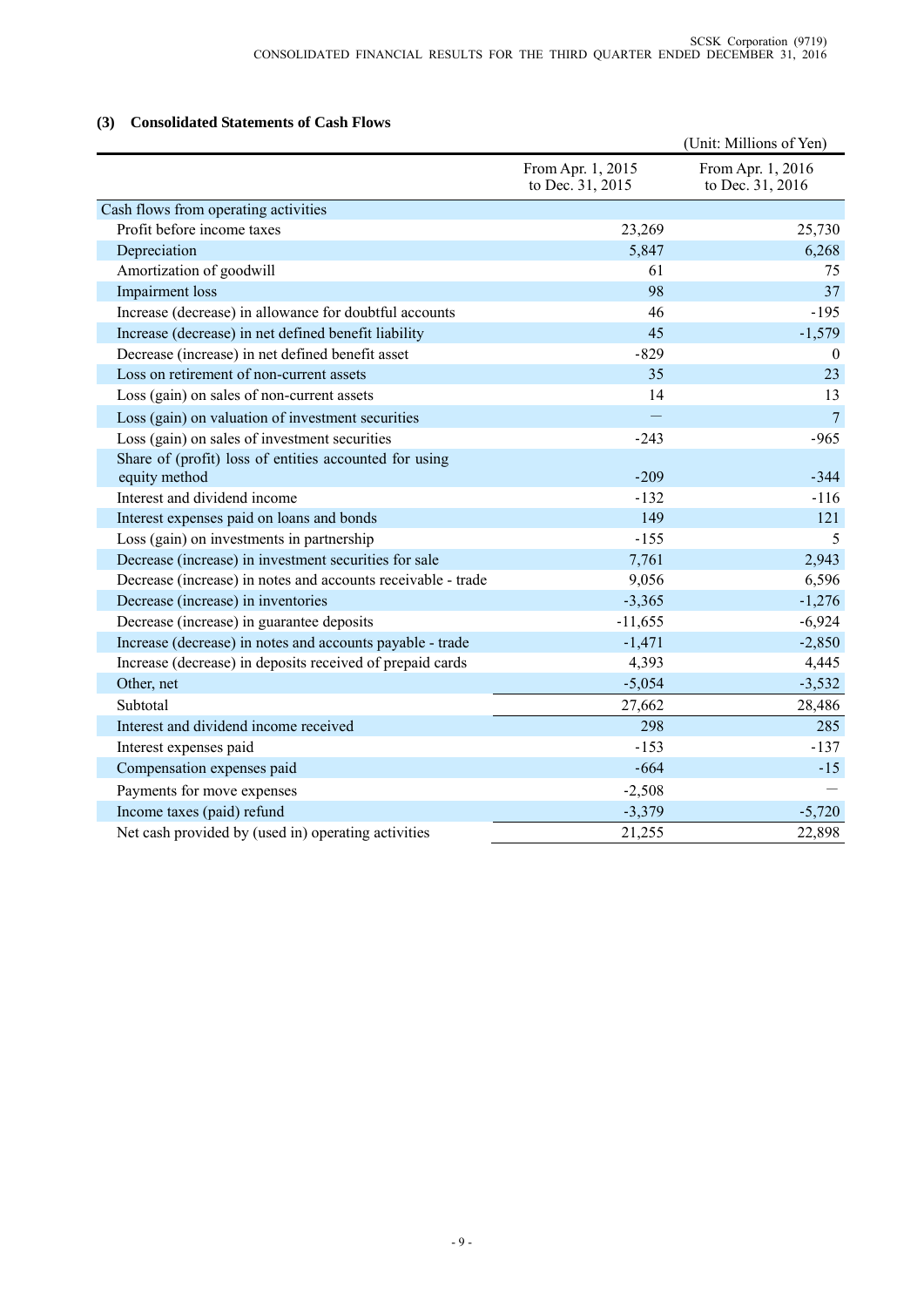## **(3) Consolidated Statements of Cash Flows**

|                                                              |                                       | (Unit: Millions of Yen)               |
|--------------------------------------------------------------|---------------------------------------|---------------------------------------|
|                                                              | From Apr. 1, 2015<br>to Dec. 31, 2015 | From Apr. 1, 2016<br>to Dec. 31, 2016 |
| Cash flows from operating activities                         |                                       |                                       |
| Profit before income taxes                                   | 23,269                                | 25,730                                |
| Depreciation                                                 | 5,847                                 | 6,268                                 |
| Amortization of goodwill                                     | 61                                    | 75                                    |
| <b>Impairment</b> loss                                       | 98                                    | 37                                    |
| Increase (decrease) in allowance for doubtful accounts       | 46                                    | $-195$                                |
| Increase (decrease) in net defined benefit liability         | 45                                    | $-1,579$                              |
| Decrease (increase) in net defined benefit asset             | $-829$                                | $\Omega$                              |
| Loss on retirement of non-current assets                     | 35                                    | 23                                    |
| Loss (gain) on sales of non-current assets                   | 14                                    | 13                                    |
| Loss (gain) on valuation of investment securities            |                                       | $\overline{7}$                        |
| Loss (gain) on sales of investment securities                | $-243$                                | $-965$                                |
| Share of (profit) loss of entities accounted for using       |                                       |                                       |
| equity method                                                | $-209$                                | $-344$                                |
| Interest and dividend income                                 | $-132$                                | $-116$                                |
| Interest expenses paid on loans and bonds                    | 149                                   | 121                                   |
| Loss (gain) on investments in partnership                    | $-155$                                | 5                                     |
| Decrease (increase) in investment securities for sale        | 7,761                                 | 2,943                                 |
| Decrease (increase) in notes and accounts receivable - trade | 9,056                                 | 6,596                                 |
| Decrease (increase) in inventories                           | $-3,365$                              | $-1,276$                              |
| Decrease (increase) in guarantee deposits                    | $-11,655$                             | $-6,924$                              |
| Increase (decrease) in notes and accounts payable - trade    | $-1,471$                              | $-2,850$                              |
| Increase (decrease) in deposits received of prepaid cards    | 4,393                                 | 4,445                                 |
| Other, net                                                   | $-5,054$                              | $-3,532$                              |
| Subtotal                                                     | 27,662                                | 28,486                                |
| Interest and dividend income received                        | 298                                   | 285                                   |
| Interest expenses paid                                       | $-153$                                | $-137$                                |
| Compensation expenses paid                                   | $-664$                                | $-15$                                 |
| Payments for move expenses                                   | $-2,508$                              |                                       |
| Income taxes (paid) refund                                   | $-3,379$                              | $-5,720$                              |
| Net cash provided by (used in) operating activities          | 21,255                                | 22,898                                |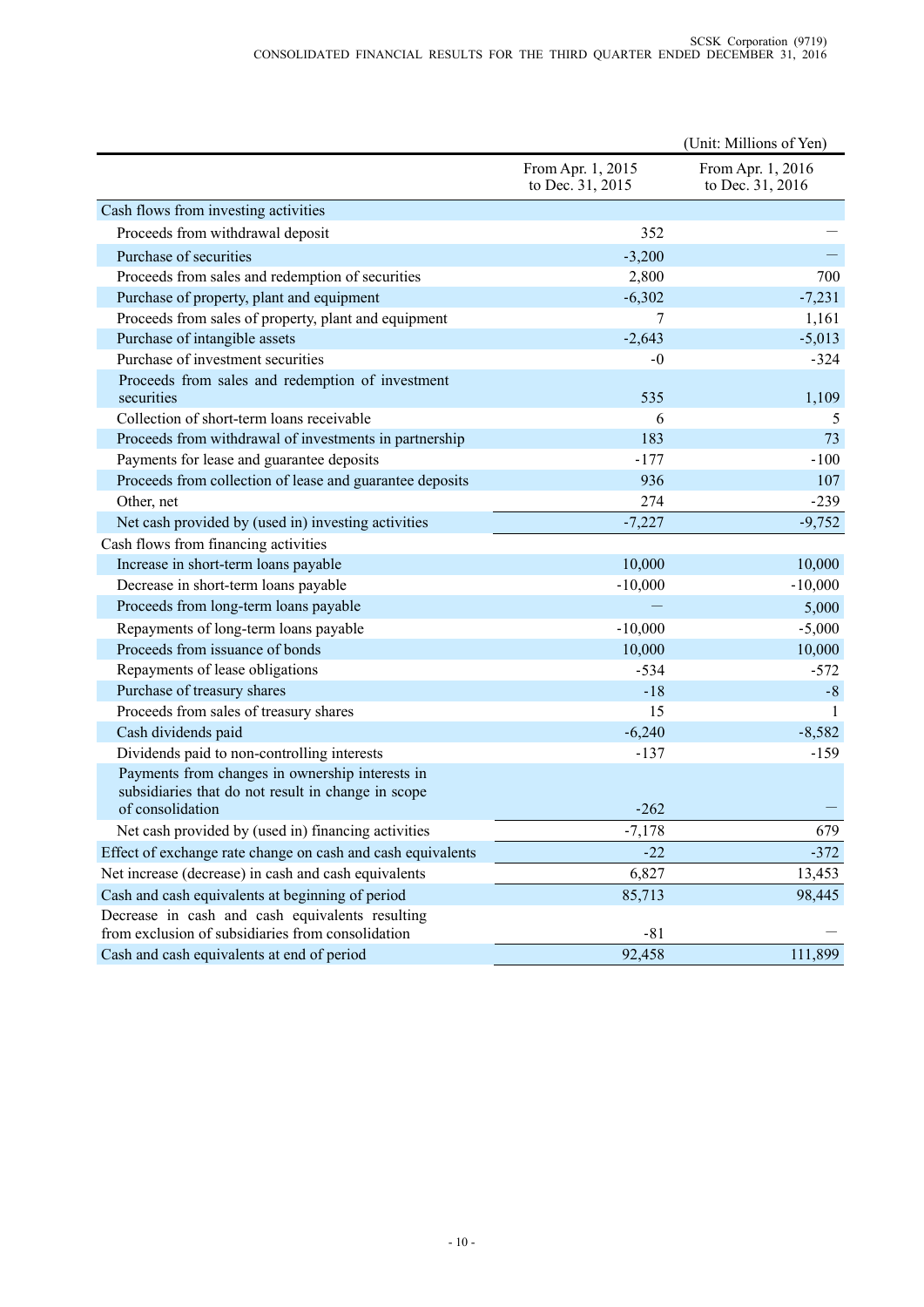|                                                                                                      |                                       | (Unit: Millions of Yen)               |
|------------------------------------------------------------------------------------------------------|---------------------------------------|---------------------------------------|
|                                                                                                      | From Apr. 1, 2015<br>to Dec. 31, 2015 | From Apr. 1, 2016<br>to Dec. 31, 2016 |
| Cash flows from investing activities                                                                 |                                       |                                       |
| Proceeds from withdrawal deposit                                                                     | 352                                   |                                       |
| Purchase of securities                                                                               | $-3,200$                              |                                       |
| Proceeds from sales and redemption of securities                                                     | 2,800                                 | 700                                   |
| Purchase of property, plant and equipment                                                            | $-6,302$                              | $-7,231$                              |
| Proceeds from sales of property, plant and equipment                                                 | 7                                     | 1,161                                 |
| Purchase of intangible assets                                                                        | $-2,643$                              | $-5,013$                              |
| Purchase of investment securities                                                                    | $-0$                                  | $-324$                                |
| Proceeds from sales and redemption of investment<br>securities                                       | 535                                   | 1,109                                 |
| Collection of short-term loans receivable                                                            | 6                                     | 5                                     |
| Proceeds from withdrawal of investments in partnership                                               | 183                                   | 73                                    |
| Payments for lease and guarantee deposits                                                            | $-177$                                | $-100$                                |
| Proceeds from collection of lease and guarantee deposits                                             | 936                                   | 107                                   |
| Other, net                                                                                           | 274                                   | $-239$                                |
| Net cash provided by (used in) investing activities                                                  | $-7,227$                              | $-9,752$                              |
| Cash flows from financing activities                                                                 |                                       |                                       |
| Increase in short-term loans payable                                                                 | 10,000                                | 10,000                                |
| Decrease in short-term loans payable                                                                 | $-10,000$                             | $-10,000$                             |
| Proceeds from long-term loans payable                                                                |                                       | 5,000                                 |
| Repayments of long-term loans payable                                                                | $-10,000$                             | $-5,000$                              |
| Proceeds from issuance of bonds                                                                      | 10,000                                | 10,000                                |
| Repayments of lease obligations                                                                      | $-534$                                | $-572$                                |
| Purchase of treasury shares                                                                          | $-18$                                 | $-8$                                  |
| Proceeds from sales of treasury shares                                                               | 15                                    | -1                                    |
| Cash dividends paid                                                                                  | $-6,240$                              | $-8,582$                              |
| Dividends paid to non-controlling interests                                                          | $-137$                                | $-159$                                |
| Payments from changes in ownership interests in                                                      |                                       |                                       |
| subsidiaries that do not result in change in scope<br>of consolidation                               | $-262$                                |                                       |
| Net cash provided by (used in) financing activities                                                  | $-7,178$                              | 679                                   |
| Effect of exchange rate change on cash and cash equivalents                                          | $-22$                                 | $-372$                                |
| Net increase (decrease) in cash and cash equivalents                                                 | 6,827                                 | 13,453                                |
| Cash and cash equivalents at beginning of period                                                     | 85,713                                | 98,445                                |
| Decrease in cash and cash equivalents resulting<br>from exclusion of subsidiaries from consolidation | $-81$                                 |                                       |
| Cash and cash equivalents at end of period                                                           | 92,458                                | 111,899                               |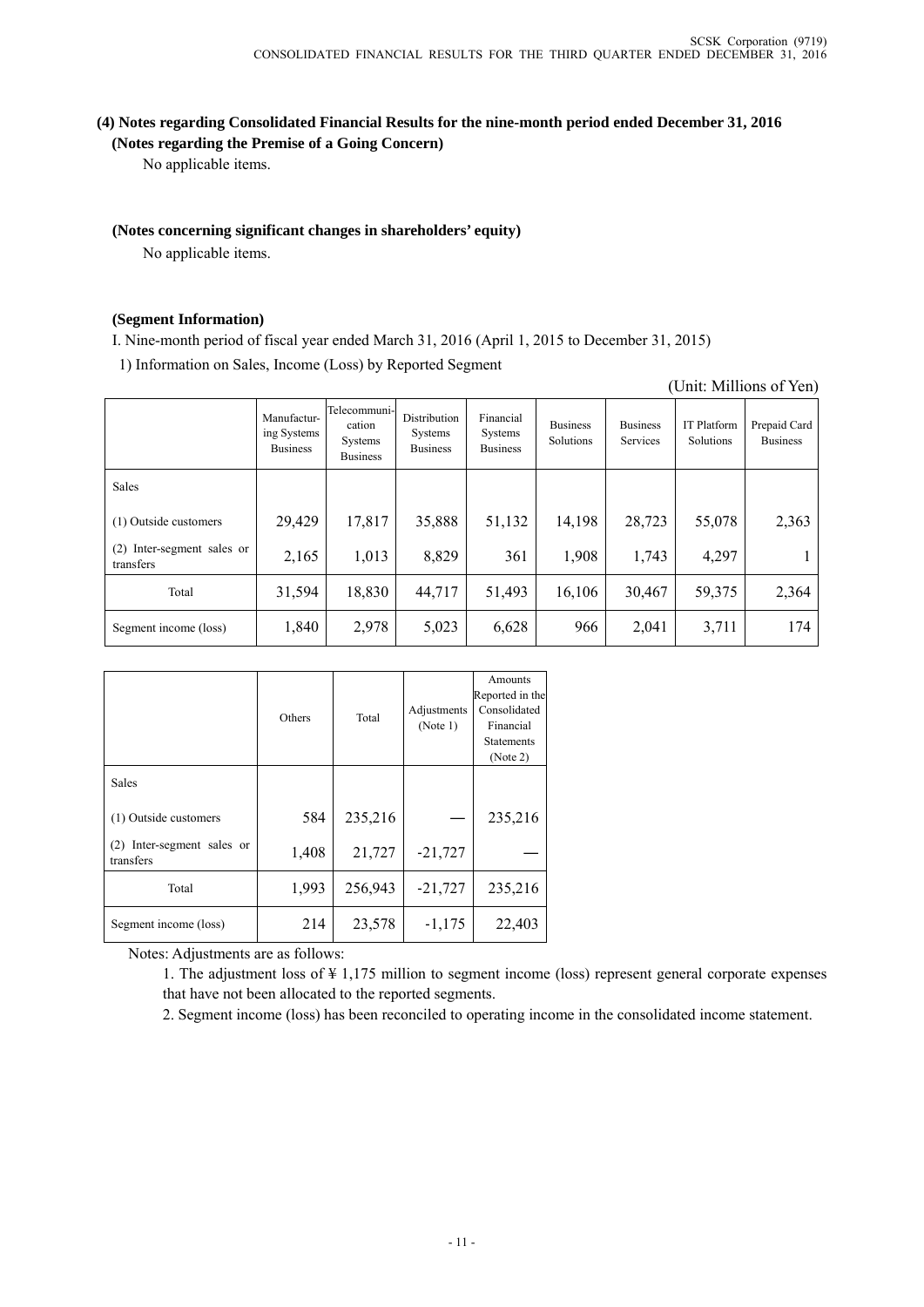## **(4) Notes regarding Consolidated Financial Results for the nine-month period ended December 31, 2016 (Notes regarding the Premise of a Going Concern)**

No applicable items.

### **(Notes concerning significant changes in shareholders' equity)**

No applicable items.

#### **(Segment Information)**

I. Nine-month period of fiscal year ended March 31, 2016 (April 1, 2015 to December 31, 2015)

1) Information on Sales, Income (Loss) by Reported Segment

|  | (Unit: Millions of Yen) |  |
|--|-------------------------|--|
|--|-------------------------|--|

|                                            | Manufactur-<br>ing Systems<br><b>Business</b> | Telecommuni-<br>cation<br>Systems<br><b>Business</b> | Distribution<br>Systems<br><b>Business</b> | Financial<br>Systems<br><b>Business</b> | <b>Business</b><br>Solutions | <b>Business</b><br>Services | <b>IT Platform</b><br>Solutions | Prepaid Card<br><b>Business</b> |
|--------------------------------------------|-----------------------------------------------|------------------------------------------------------|--------------------------------------------|-----------------------------------------|------------------------------|-----------------------------|---------------------------------|---------------------------------|
| Sales                                      |                                               |                                                      |                                            |                                         |                              |                             |                                 |                                 |
| (1) Outside customers                      | 29,429                                        | 17,817                                               | 35,888                                     | 51,132                                  | 14,198                       | 28,723                      | 55,078                          | 2,363                           |
| Inter-segment sales or<br>(2)<br>transfers | 2,165                                         | 1,013                                                | 8,829                                      | 361                                     | 1,908                        | 1,743                       | 4,297                           |                                 |
| Total                                      | 31,594                                        | 18,830                                               | 44,717                                     | 51,493                                  | 16,106                       | 30,467                      | 59,375                          | 2,364                           |
| Segment income (loss)                      | 1,840                                         | 2,978                                                | 5,023                                      | 6,628                                   | 966                          | 2,041                       | 3,711                           | 174                             |

|                                         | Others | Total   | Adjustments<br>(Note 1) | Amounts<br>Reported in the<br>Consolidated<br>Financial<br><b>Statements</b><br>(Note 2) |
|-----------------------------------------|--------|---------|-------------------------|------------------------------------------------------------------------------------------|
| <b>Sales</b>                            |        |         |                         |                                                                                          |
| (1) Outside customers                   | 584    | 235,216 |                         | 235,216                                                                                  |
| (2) Inter-segment sales or<br>transfers | 1,408  | 21,727  | $-21,727$               |                                                                                          |
| Total                                   | 1,993  | 256,943 | $-21,727$               | 235,216                                                                                  |
| Segment income (loss)                   | 214    | 23,578  | $-1,175$                | 22,403                                                                                   |

Notes: Adjustments are as follows:

1. The adjustment loss of ¥ 1,175 million to segment income (loss) represent general corporate expenses that have not been allocated to the reported segments.

2. Segment income (loss) has been reconciled to operating income in the consolidated income statement.